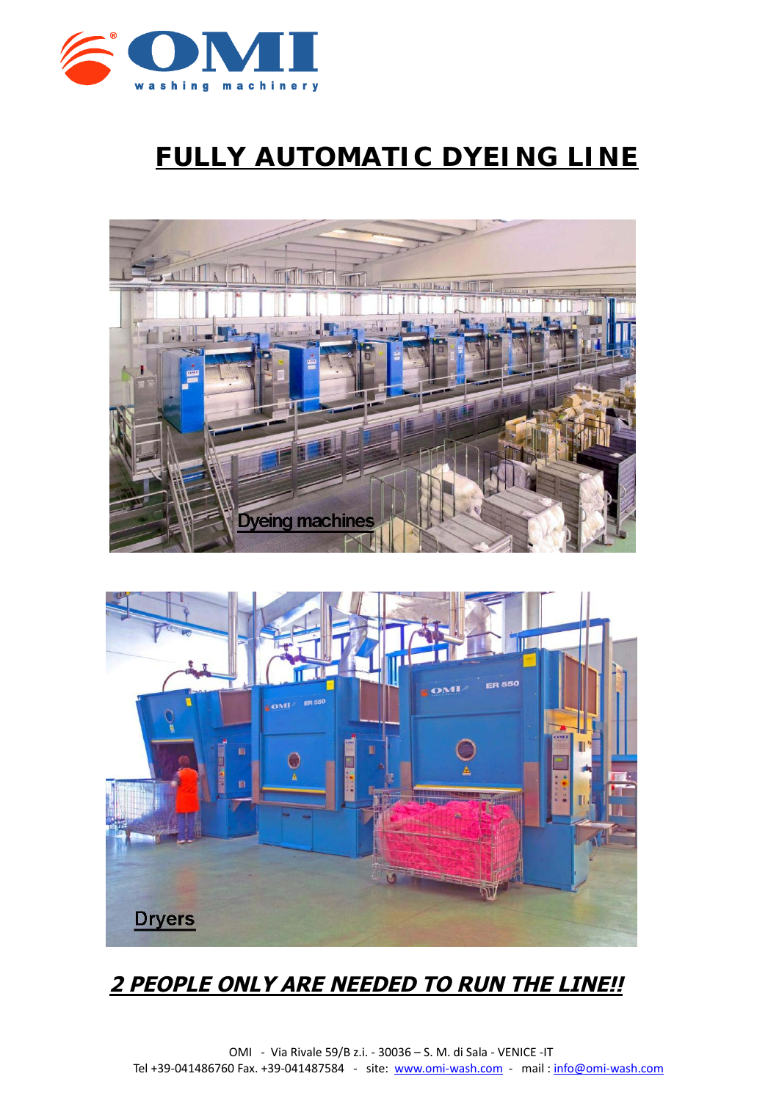

# **FULLY AUTOMATIC DYEING LINE**





## **2 PEOPLE ONLY ARE NEEDED TO RUN THE LINE!!**